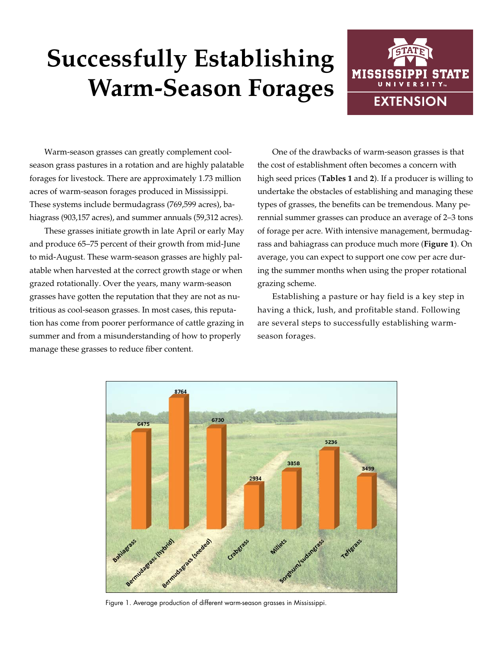# **Successfully Establishing Warm-Season Forages**



Warm-season grasses can greatly complement coolseason grass pastures in a rotation and are highly palatable forages for livestock. There are approximately 1.73 million acres of warm-season forages produced in Mississippi. These systems include bermudagrass (769,599 acres), bahiagrass (903,157 acres), and summer annuals (59,312 acres).

These grasses initiate growth in late April or early May and produce 65–75 percent of their growth from mid-June to mid-August. These warm-season grasses are highly palatable when harvested at the correct growth stage or when grazed rotationally. Over the years, many warm-season grasses have gotten the reputation that they are not as nutritious as cool-season grasses. In most cases, this reputation has come from poorer performance of cattle grazing in summer and from a misunderstanding of how to properly manage these grasses to reduce fiber content.

One of the drawbacks of warm-season grasses is that the cost of establishment often becomes a concern with high seed prices (**Tables 1** and **2**). If a producer is willing to undertake the obstacles of establishing and managing these types of grasses, the benefits can be tremendous. Many perennial summer grasses can produce an average of 2–3 tons of forage per acre. With intensive management, bermudagrass and bahiagrass can produce much more (**Figure 1**). On average, you can expect to support one cow per acre during the summer months when using the proper rotational grazing scheme.

Establishing a pasture or hay field is a key step in having a thick, lush, and profitable stand. Following are several steps to successfully establishing warmseason forages.



Figure 1. Average production of different warm-season grasses in Mississippi.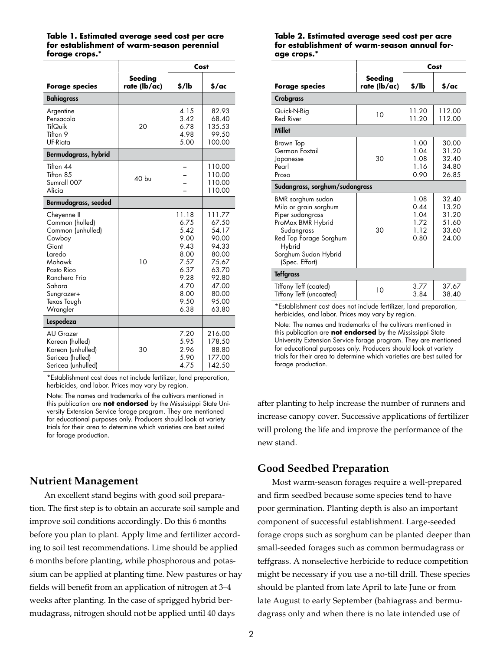**Table 1. Estimated average seed cost per acre for establishment of warm-season perennial forage crops.\***

|                                                                                                                                                                              |                         | Cost                                                                                                  |                                                                                                                    |  |
|------------------------------------------------------------------------------------------------------------------------------------------------------------------------------|-------------------------|-------------------------------------------------------------------------------------------------------|--------------------------------------------------------------------------------------------------------------------|--|
| <b>Forage species</b>                                                                                                                                                        | Seeding<br>rate (lb/ac) | \$/lb                                                                                                 | \$/ac                                                                                                              |  |
| <b>Bahiagrass</b>                                                                                                                                                            |                         |                                                                                                       |                                                                                                                    |  |
| Argentine<br>Pensacola<br>TifQuik<br>Tifton 9<br>UF-Riata                                                                                                                    | 20                      | 4.15<br>3.42<br>6.78<br>4.98<br>5.00                                                                  | 82.93<br>68.40<br>135.53<br>99.50<br>100.00                                                                        |  |
| Bermudagrass, hybrid                                                                                                                                                         |                         |                                                                                                       |                                                                                                                    |  |
| Tifton 44<br>Tifton 85<br>Sumrall 007<br>Alicia                                                                                                                              | 40 bu                   |                                                                                                       | 110.00<br>110.00<br>110.00<br>110.00                                                                               |  |
| Bermudagrass, seeded                                                                                                                                                         |                         |                                                                                                       |                                                                                                                    |  |
| Cheyenne II<br>Common (hulled)<br>Common (unhulled)<br>Cowboy<br>Giant<br>Laredo<br>Mohawk<br>Pasto Rico<br>Ranchero Frio<br>Sahara<br>Sungrazer+<br>Texas Tough<br>Wrangler | 10                      | 11.18<br>6.75<br>5.42<br>9.00<br>9.43<br>8.00<br>7.57<br>6.37<br>9.28<br>4.70<br>8.00<br>9.50<br>6.38 | 111.77<br>67.50<br>54.17<br>90.00<br>94.33<br>80.00<br>75.67<br>63.70<br>92.80<br>47.00<br>80.00<br>95.00<br>63.80 |  |
| Lespedeza                                                                                                                                                                    |                         |                                                                                                       |                                                                                                                    |  |
| AU Grazer<br>Korean (hulled)<br>Korean (unhulled)<br>Sericea (hulled)<br>Sericea (unhulled)                                                                                  | 30                      | 7.20<br>5.95<br>2.96<br>5.90<br>4.75                                                                  | 216.00<br>178.50<br>88.80<br>177.00<br>142.50                                                                      |  |

\*Establishment cost does not include fertilizer, land preparation, herbicides, and labor. Prices may vary by region.

Note: The names and trademarks of the cultivars mentioned in this publication are **not endorsed** by the Mississippi State University Extension Service forage program. They are mentioned for educational purposes only. Producers should look at variety trials for their area to determine which varieties are best suited for forage production.

### **Nutrient Management**

An excellent stand begins with good soil preparation. The first step is to obtain an accurate soil sample and improve soil conditions accordingly. Do this 6 months before you plan to plant. Apply lime and fertilizer according to soil test recommendations. Lime should be applied 6 months before planting, while phosphorous and potassium can be applied at planting time. New pastures or hay fields will benefit from an application of nitrogen at 3–4 weeks after planting. In the case of sprigged hybrid bermudagrass, nitrogen should not be applied until 40 days

#### **Table 2. Estimated average seed cost per acre for establishment of warm-season annual forage crops.\***

|                                                                                                                                                                                 |                         | Cost                                         |                                                    |  |  |  |  |
|---------------------------------------------------------------------------------------------------------------------------------------------------------------------------------|-------------------------|----------------------------------------------|----------------------------------------------------|--|--|--|--|
| <b>Forage species</b>                                                                                                                                                           | Seeding<br>rate (lb/ac) | \$/lb                                        | $S/\alpha c$                                       |  |  |  |  |
| Crabgrass                                                                                                                                                                       |                         |                                              |                                                    |  |  |  |  |
| Quick-N-Big<br><b>Red River</b>                                                                                                                                                 | 10                      | 11.20<br>11.20                               | 112.00<br>112.00                                   |  |  |  |  |
| <b>Millet</b>                                                                                                                                                                   |                         |                                              |                                                    |  |  |  |  |
| <b>Brown Top</b><br>German Foxtail<br>Japanesse<br>Pearl<br>Proso                                                                                                               | 30                      | 1.00<br>1.04<br>1.08<br>1.16<br>0.90         | 30.00<br>31.20<br>32.40<br>34.80<br>26.85          |  |  |  |  |
| Sudangrass, sorghum/sudangrass                                                                                                                                                  |                         |                                              |                                                    |  |  |  |  |
| BMR sorghum sudan<br>Milo or grain sorghum<br>Piper sudangrass<br>ProMax BMR Hybrid<br>Sudangrass<br>Red Top Forage Sorghum<br>Hybrid<br>Sorghum Sudan Hybrid<br>(Spec. Effort) | 30                      | 1.08<br>0.44<br>1.04<br>1.72<br>1.12<br>0.80 | 32.40<br>13.20<br>31.20<br>51.60<br>33.60<br>24.00 |  |  |  |  |
| <b>Teffgrass</b>                                                                                                                                                                |                         |                                              |                                                    |  |  |  |  |
| Tiffany Teff (coated)<br>Tiffany Teff (uncoated)                                                                                                                                | 10                      | 3.77<br>3.84                                 | 37.67<br>38.40                                     |  |  |  |  |

\*Establishment cost does not include fertilizer, land preparation, herbicides, and labor. Prices may vary by region.

Note: The names and trademarks of the cultivars mentioned in this publication are **not endorsed** by the Mississippi State University Extension Service forage program. They are mentioned for educational purposes only. Producers should look at variety trials for their area to determine which varieties are best suited for forage production.

after planting to help increase the number of runners and increase canopy cover. Successive applications of fertilizer will prolong the life and improve the performance of the new stand.

### **Good Seedbed Preparation**

Most warm-season forages require a well-prepared and firm seedbed because some species tend to have poor germination. Planting depth is also an important component of successful establishment. Large-seeded forage crops such as sorghum can be planted deeper than small-seeded forages such as common bermudagrass or teffgrass. A nonselective herbicide to reduce competition might be necessary if you use a no-till drill. These species should be planted from late April to late June or from late August to early September (bahiagrass and bermudagrass only and when there is no late intended use of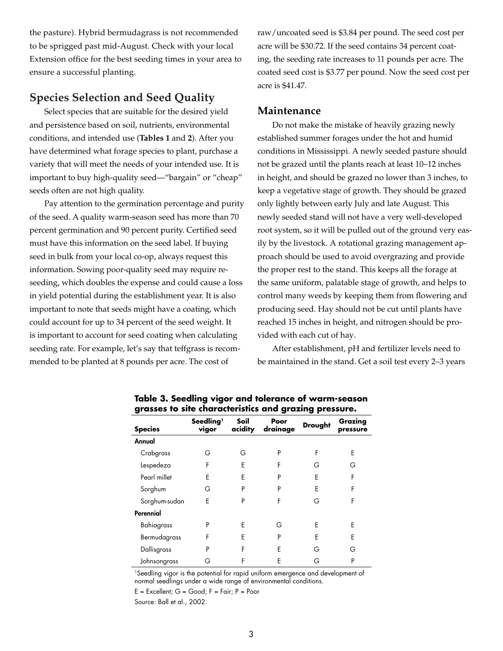the pasture). Hybrid bermudagrass is not recommended to be sprigged past mid-August. Check with your local Extension office for the best seeding times in your area to ensure a successful planting.

## **Species Selection and Seed Quality**

Select species that are suitable for the desired yield and persistence based on soil, nutrients, environmental conditions, and intended use (**Tables 1** and **2**). After you have determined what forage species to plant, purchase a variety that will meet the needs of your intended use. It is important to buy high-quality seed—"bargain" or "cheap" seeds often are not high quality.

Pay attention to the germination percentage and purity of the seed. A quality warm-season seed has more than 70 percent germination and 90 percent purity. Certified seed must have this information on the seed label. If buying seed in bulk from your local co-op, always request this information. Sowing poor-quality seed may require reseeding, which doubles the expense and could cause a loss in yield potential during the establishment year. It is also important to note that seeds might have a coating, which could account for up to 34 percent of the seed weight. It is important to account for seed coating when calculating seeding rate. For example, let's say that teffgrass is recommended to be planted at 8 pounds per acre. The cost of

raw/uncoated seed is \$3.84 per pound. The seed cost per acre will be \$30.72. If the seed contains 34 percent coating, the seeding rate increases to 11 pounds per acre. The coated seed cost is \$3.77 per pound. Now the seed cost per acre is \$41.47.

#### **Maintenance**

Do not make the mistake of heavily grazing newly established summer forages under the hot and humid conditions in Mississippi. A newly seeded pasture should not be grazed until the plants reach at least 10–12 inches in height, and should be grazed no lower than 3 inches, to keep a vegetative stage of growth. They should be grazed only lightly between early July and late August. This newly seeded stand will not have a very well-developed root system, so it will be pulled out of the ground very easily by the livestock. A rotational grazing management approach should be used to avoid overgrazing and provide the proper rest to the stand. This keeps all the forage at the same uniform, palatable stage of growth, and helps to control many weeds by keeping them from flowering and producing seed. Hay should not be cut until plants have reached 15 inches in height, and nitrogen should be provided with each cut of hay.

After establishment, pH and fertilizer levels need to be maintained in the stand. Get a soil test every 2–3 years

| <b>Species</b> | Seedling <sup>1</sup><br>vigor | Soil<br>acidity | Poor<br>drainage | <b>Drought</b> | Grazing<br>pressure |
|----------------|--------------------------------|-----------------|------------------|----------------|---------------------|
| Annual         |                                |                 |                  |                |                     |
| Crabgrass      | G                              | G               | P                | F              | E                   |
| Lespedeza      | F                              | E               | F                | G              | G                   |
| Pearl millet   | E                              | E               | P                | Ε              | F                   |
| Sorghum        | G                              | P               | P                | F              | F                   |
| Sorghum-sudan  | F                              | P               | F                | G              | F                   |
| Perennial      |                                |                 |                  |                |                     |
| Bahiagrass     | P                              | E               | G                | F              | E                   |
| Bermudagrass   | F                              | E               | P                | F              | E                   |
| Dallisgrass    | P                              | F               | E                | G              | G                   |
| Johnsongrass   | G                              | F               | E                | G              | P                   |

**Table 3. Seedling vigor and tolerance of warm-season grasses to site characteristics and grazing pressure.**

1Seedling vigor is the potential for rapid uniform emergence and development of normal seedlings under a wide range of environmental conditions.

E = Excellent; G = Good; F = Fair; P = Poor

Source: Ball et al., 2002.